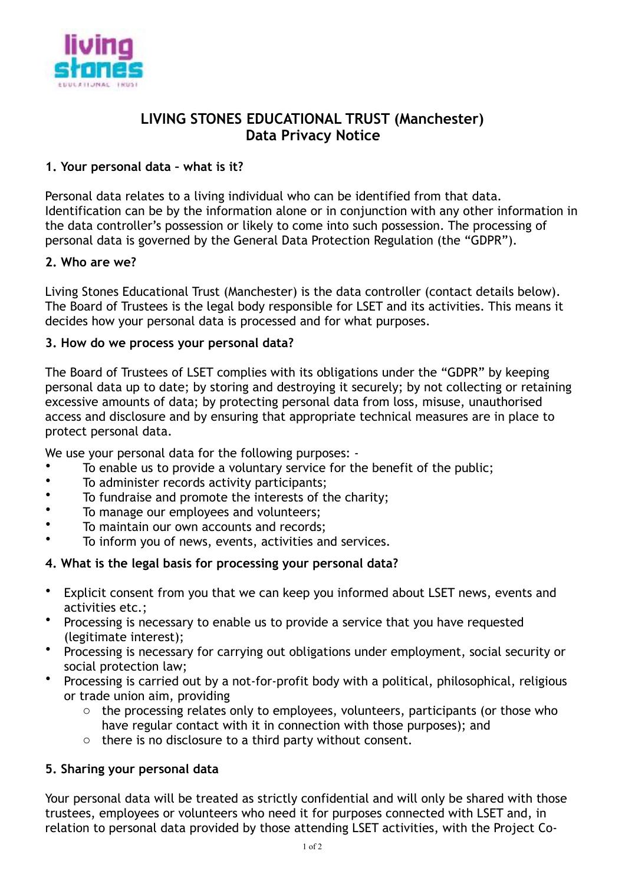

# **LIVING STONES EDUCATIONAL TRUST (Manchester) Data Privacy Notice**

## **1. Your personal data – what is it?**

Personal data relates to a living individual who can be identified from that data. Identification can be by the information alone or in conjunction with any other information in the data controller's possession or likely to come into such possession. The processing of personal data is governed by the General Data Protection Regulation (the "GDPR").

### **2. Who are we?**

Living Stones Educational Trust (Manchester) is the data controller (contact details below). The Board of Trustees is the legal body responsible for LSET and its activities. This means it decides how your personal data is processed and for what purposes.

### **3. How do we process your personal data?**

The Board of Trustees of LSET complies with its obligations under the "GDPR" by keeping personal data up to date; by storing and destroying it securely; by not collecting or retaining excessive amounts of data; by protecting personal data from loss, misuse, unauthorised access and disclosure and by ensuring that appropriate technical measures are in place to protect personal data.

We use your personal data for the following purposes: -

- To enable us to provide a voluntary service for the benefit of the public;<br>• To administer records activity participants:
- To administer records activity participants;
- To fundraise and promote the interests of the charity;
- To manage our employees and volunteers;
- To maintain our own accounts and records;
- To inform you of news, events, activities and services.

## **4. What is the legal basis for processing your personal data?**

- Explicit consent from you that we can keep you informed about LSET news, events and activities etc.;
- Processing is necessary to enable us to provide a service that you have requested (legitimate interest);
- Processing is necessary for carrying out obligations under employment, social security or social protection law;
- Processing is carried out by a not-for-profit body with a political, philosophical, religious or trade union aim, providing
	- o the processing relates only to employees, volunteers, participants (or those who have regular contact with it in connection with those purposes); and
	- o there is no disclosure to a third party without consent.

## **5. Sharing your personal data**

Your personal data will be treated as strictly confidential and will only be shared with those trustees, employees or volunteers who need it for purposes connected with LSET and, in relation to personal data provided by those attending LSET activities, with the Project Co